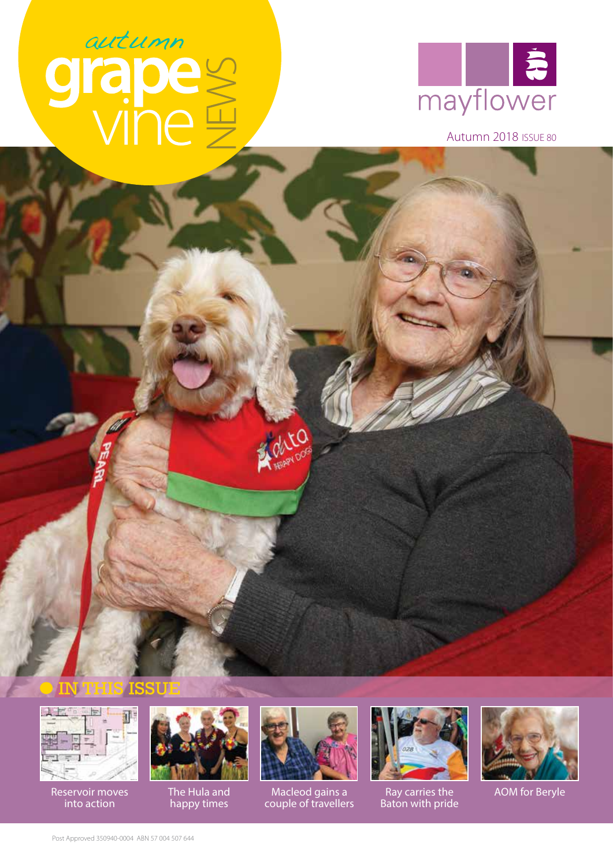# autumn<br>Tapes



Autumn 2018 ISSUE 80





Reservoir moves into action



The Hula and<br>happy times



**PORTLOOP** 

Macleod gains a couple of travellers The Hula and **Macleod gains a** Bay carries the AOM for Beryle



Ray carries the Baton with pride

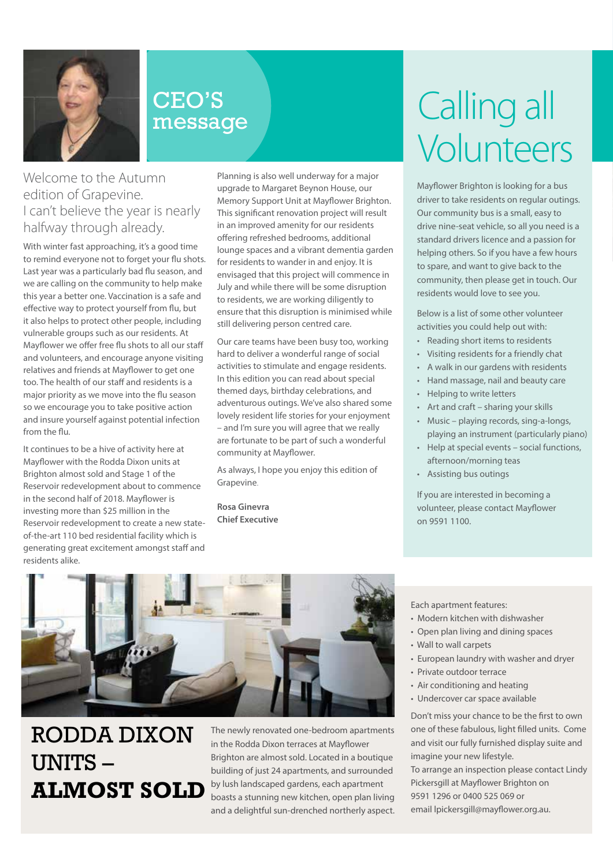

### CEO'S message

#### Welcome to the Autumn edition of Grapevine. I can't believe the year is nearly halfway through already.

With winter fast approaching, it's a good time to remind everyone not to forget your flu shots. Last year was a particularly bad flu season, and we are calling on the community to help make this year a better one. Vaccination is a safe and effective way to protect yourself from flu, but it also helps to protect other people, including vulnerable groups such as our residents. At Mayflower we offer free flu shots to all our staff and volunteers, and encourage anyone visiting relatives and friends at Mayflower to get one too. The health of our staff and residents is a major priority as we move into the flu season so we encourage you to take positive action and insure yourself against potential infection from the flu.

It continues to be a hive of activity here at Mayflower with the Rodda Dixon units at Brighton almost sold and Stage 1 of the Reservoir redevelopment about to commence in the second half of 2018. Mayflower is investing more than \$25 million in the Reservoir redevelopment to create a new stateof-the-art 110 bed residential facility which is generating great excitement amongst staff and residents alike.

Planning is also well underway for a major upgrade to Margaret Beynon House, our Memory Support Unit at Mayflower Brighton. This significant renovation project will result in an improved amenity for our residents offering refreshed bedrooms, additional lounge spaces and a vibrant dementia garden for residents to wander in and enjoy. It is envisaged that this project will commence in July and while there will be some disruption to residents, we are working diligently to ensure that this disruption is minimised while still delivering person centred care.

Our care teams have been busy too, working hard to deliver a wonderful range of social activities to stimulate and engage residents. In this edition you can read about special themed days, birthday celebrations, and adventurous outings. We've also shared some lovely resident life stories for your enjoyment – and I'm sure you will agree that we really are fortunate to be part of such a wonderful community at Mayflower.

As always, I hope you enjoy this edition of Grapevine.

**Rosa Ginevra Chief Executive**

# Calling all Volunteers

Mayflower Brighton is looking for a bus driver to take residents on regular outings. Our community bus is a small, easy to drive nine-seat vehicle, so all you need is a standard drivers licence and a passion for helping others. So if you have a few hours to spare, and want to give back to the community, then please get in touch. Our residents would love to see you.

Below is a list of some other volunteer activities you could help out with:

- Reading short items to residents
- Visiting residents for a friendly chat
- A walk in our gardens with residents
- Hand massage, nail and beauty care
- Helping to write letters
- Art and craft sharing your skills
- Music playing records, sing-a-longs, playing an instrument (particularly piano)
- Help at special events social functions, afternoon/morning teas
- Assisting bus outings

If you are interested in becoming a volunteer, please contact Mayflower on 9591 1100.



## RODDA DIXON UNITS – **ALMOST SOLD**

The newly renovated one-bedroom apartments in the Rodda Dixon terraces at Mayflower Brighton are almost sold. Located in a boutique building of just 24 apartments, and surrounded by lush landscaped gardens, each apartment boasts a stunning new kitchen, open plan living and a delightful sun-drenched northerly aspect. Each apartment features:

- Modern kitchen with dishwasher
- Open plan living and dining spaces
- Wall to wall carpets
- European laundry with washer and dryer
- Private outdoor terrace
- Air conditioning and heating
- Undercover car space available

Don't miss your chance to be the first to own one of these fabulous, light filled units. Come and visit our fully furnished display suite and imagine your new lifestyle. To arrange an inspection please contact Lindy Pickersgill at Mayflower Brighton on 9591 1296 or 0400 525 069 or email lpickersgill@mayflower.org.au.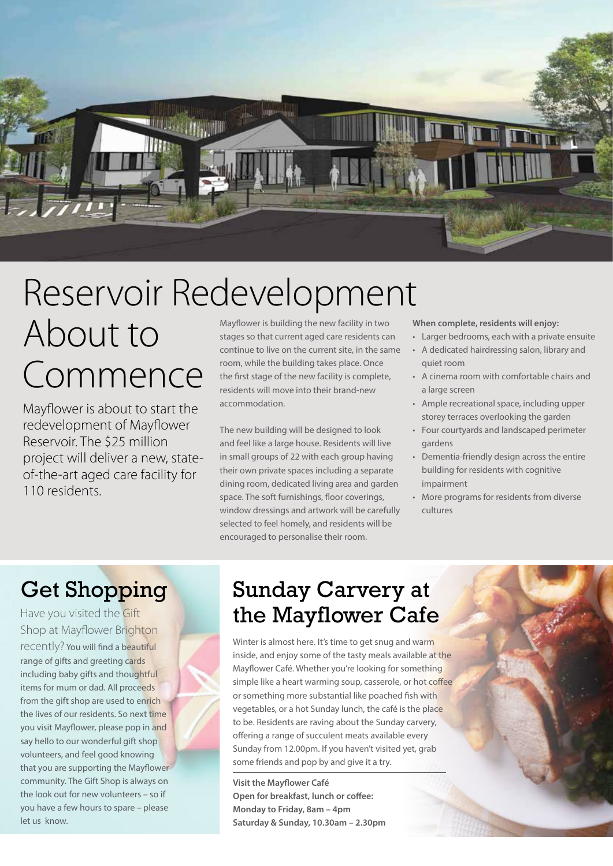

# Reservoir Redevelopment

# About to Commence

Mayflower is about to start the redevelopment of Mayflower Reservoir. The \$25 million project will deliver a new, stateof-the-art aged care facility for 110 residents.

Mayflower is building the new facility in two stages so that current aged care residents can continue to live on the current site, in the same room, while the building takes place. Once the first stage of the new facility is complete, residents will move into their brand-new accommodation.

The new building will be designed to look and feel like a large house. Residents will live in small groups of 22 with each group having their own private spaces including a separate dining room, dedicated living area and garden space. The soft furnishings, floor coverings, window dressings and artwork will be carefully selected to feel homely, and residents will be encouraged to personalise their room.

**When complete, residents will enjoy:**

- Larger bedrooms, each with a private ensuite • A dedicated hairdressing salon, library and quiet room
- A cinema room with comfortable chairs and a large screen
- Ample recreational space, including upper storey terraces overlooking the garden
- Four courtyards and landscaped perimeter gardens
- Dementia-friendly design across the entire building for residents with cognitive impairment
- More programs for residents from diverse cultures

Have you visited the Gift Shop at Mayflower Brighton recently? You will find a beautiful range of gifts and greeting cards including baby gifts and thoughtful items for mum or dad. All proceeds from the gift shop are used to enrich the lives of our residents. So next time you visit Mayflower, please pop in and say hello to our wonderful gift shop volunteers, and feel good knowing that you are supporting the Mayflower community. The Gift Shop is always on the look out for new volunteers – so if you have a few hours to spare – please let us know.

## Get Shopping Sunday Carvery at the Mayflower Cafe

Winter is almost here. It's time to get snug and warm inside, and enjoy some of the tasty meals available at the Mayflower Café. Whether you're looking for something simple like a heart warming soup, casserole, or hot coffee or something more substantial like poached fish with vegetables, or a hot Sunday lunch, the café is the place to be. Residents are raving about the Sunday carvery, offering a range of succulent meats available every Sunday from 12.00pm. If you haven't visited yet, grab some friends and pop by and give it a try.

**Visit the Mayflower Café Open for breakfast, lunch or coffee: Monday to Friday, 8am – 4pm Saturday & Sunday, 10.30am – 2.30pm**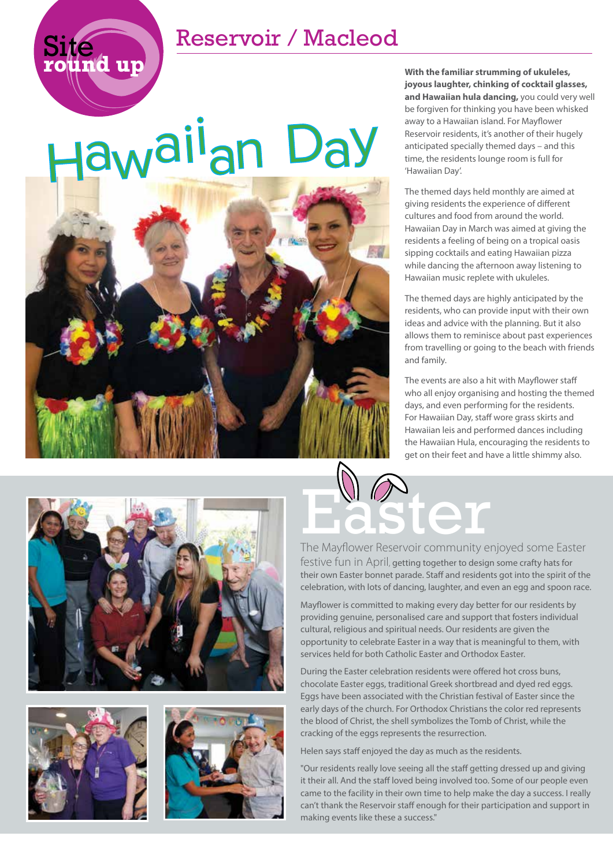### Reservoir / Macleod

# Haw<sup>aii</sup>an Day

Site **round up**



**With the familiar strumming of ukuleles, joyous laughter, chinking of cocktail glasses, and Hawaiian hula dancing,** you could very well be forgiven for thinking you have been whisked away to a Hawaiian island. For Mayflower Reservoir residents, it's another of their hugely anticipated specially themed days – and this time, the residents lounge room is full for 'Hawaiian Day'.

The themed days held monthly are aimed at giving residents the experience of different cultures and food from around the world. Hawaiian Day in March was aimed at giving the residents a feeling of being on a tropical oasis sipping cocktails and eating Hawaiian pizza while dancing the afternoon away listening to Hawaiian music replete with ukuleles.

The themed days are highly anticipated by the residents, who can provide input with their own ideas and advice with the planning. But it also allows them to reminisce about past experiences from travelling or going to the beach with friends and family.

The events are also a hit with Mayflower staff who all enjoy organising and hosting the themed days, and even performing for the residents. For Hawaiian Day, staff wore grass skirts and Hawaiian leis and performed dances including the Hawaiian Hula, encouraging the residents to get on their feet and have a little shimmy also.







# **Ster**

The Mayflower Reservoir community enjoyed some Easter festive fun in April, getting together to design some crafty hats for their own Easter bonnet parade. Staff and residents got into the spirit of the celebration, with lots of dancing, laughter, and even an egg and spoon race.

Mayflower is committed to making every day better for our residents by providing genuine, personalised care and support that fosters individual cultural, religious and spiritual needs. Our residents are given the opportunity to celebrate Easter in a way that is meaningful to them, with services held for both Catholic Easter and Orthodox Easter.

During the Easter celebration residents were offered hot cross buns, chocolate Easter eggs, traditional Greek shortbread and dyed red eggs. Eggs have been associated with the Christian festival of Easter since the early days of the church. For Orthodox Christians the color red represents the blood of Christ, the shell symbolizes the Tomb of Christ, while the cracking of the eggs represents the resurrection.

Helen says staff enjoyed the day as much as the residents.

"Our residents really love seeing all the staff getting dressed up and giving it their all. And the staff loved being involved too. Some of our people even came to the facility in their own time to help make the day a success. I really can't thank the Reservoir staff enough for their participation and support in making events like these a success."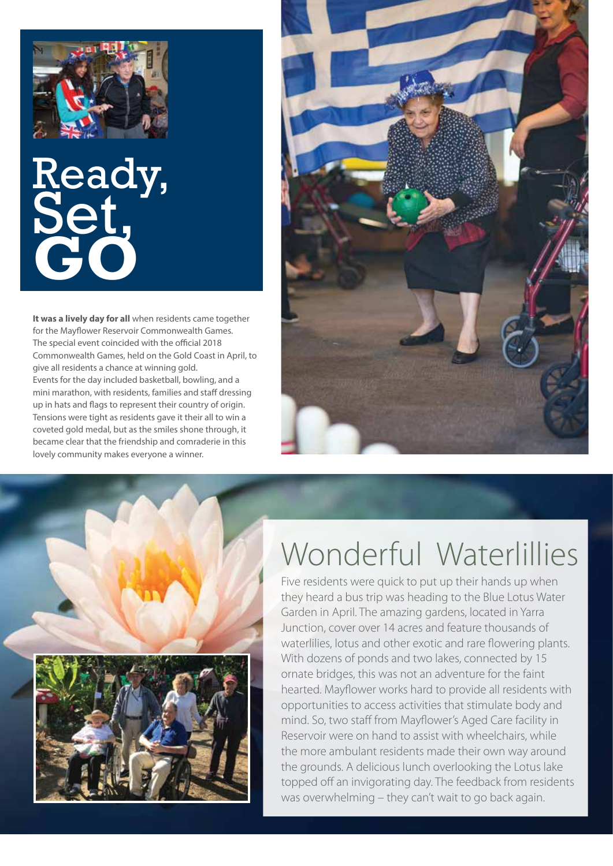

# Ready, Set, **GO**

**It was a lively day for all** when residents came together for the Mayflower Reservoir Commonwealth Games. The special event coincided with the official 2018 Commonwealth Games, held on the Gold Coast in April, to give all residents a chance at winning gold. Events for the day included basketball, bowling, and a mini marathon, with residents, families and staff dressing up in hats and flags to represent their country of origin. Tensions were tight as residents gave it their all to win a coveted gold medal, but as the smiles shone through, it became clear that the friendship and comraderie in this lovely community makes everyone a winner.





# Wonderful Waterlillies

Five residents were quick to put up their hands up when they heard a bus trip was heading to the Blue Lotus Water Garden in April. The amazing gardens, located in Yarra Junction, cover over 14 acres and feature thousands of waterlilies, lotus and other exotic and rare flowering plants. With dozens of ponds and two lakes, connected by 15 ornate bridges, this was not an adventure for the faint hearted. Mayflower works hard to provide all residents with opportunities to access activities that stimulate body and mind. So, two staff from Mayflower's Aged Care facility in Reservoir were on hand to assist with wheelchairs, while the more ambulant residents made their own way around the grounds. A delicious lunch overlooking the Lotus lake topped off an invigorating day. The feedback from residents was overwhelming – they can't wait to go back again.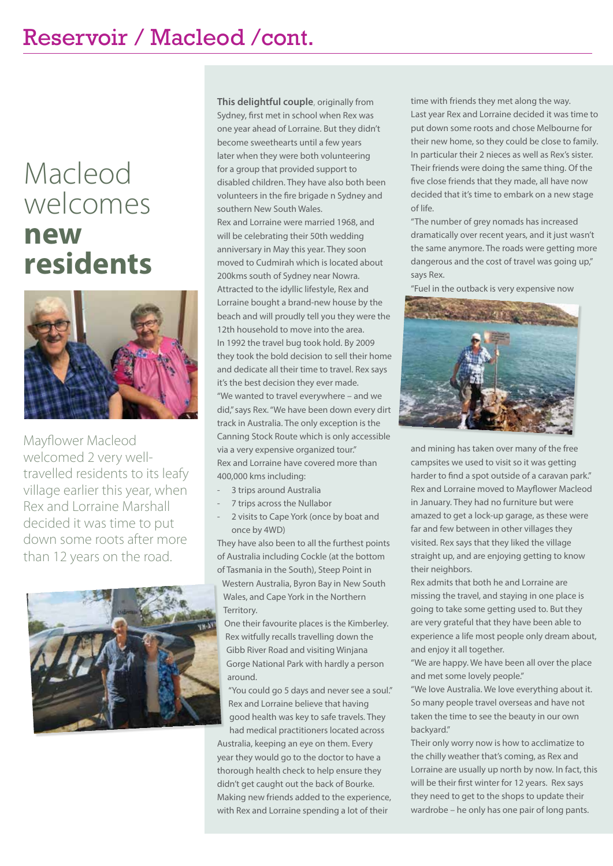## Macleod welcomes **new residents**



Mayflower Macleod welcomed 2 very welltravelled residents to its leafy village earlier this year, when Rex and Lorraine Marshall decided it was time to put down some roots after more than 12 years on the road.



**This delightful couple**, originally from Sydney, first met in school when Rex was one year ahead of Lorraine. But they didn't become sweethearts until a few years later when they were both volunteering for a group that provided support to disabled children. They have also both been volunteers in the fire brigade n Sydney and southern New South Wales.

Rex and Lorraine were married 1968, and will be celebrating their 50th wedding anniversary in May this year. They soon moved to Cudmirah which is located about 200kms south of Sydney near Nowra. Attracted to the idyllic lifestyle, Rex and Lorraine bought a brand-new house by the beach and will proudly tell you they were the 12th household to move into the area. In 1992 the travel bug took hold. By 2009 they took the bold decision to sell their home and dedicate all their time to travel. Rex says it's the best decision they ever made. "We wanted to travel everywhere – and we did," says Rex. "We have been down every dirt track in Australia. The only exception is the Canning Stock Route which is only accessible via a very expensive organized tour." Rex and Lorraine have covered more than 400,000 kms including:

- 3 trips around Australia
- 7 trips across the Nullabor
- 2 visits to Cape York (once by boat and once by 4WD)

They have also been to all the furthest points of Australia including Cockle (at the bottom of Tasmania in the South), Steep Point in

Western Australia, Byron Bay in New South Wales, and Cape York in the Northern Territory.

One their favourite places is the Kimberley. Rex witfully recalls travelling down the Gibb River Road and visiting Winjana Gorge National Park with hardly a person around.

"You could go 5 days and never see a soul." Rex and Lorraine believe that having good health was key to safe travels. They had medical practitioners located across

Australia, keeping an eye on them. Every year they would go to the doctor to have a thorough health check to help ensure they didn't get caught out the back of Bourke. Making new friends added to the experience, with Rex and Lorraine spending a lot of their

time with friends they met along the way. Last year Rex and Lorraine decided it was time to put down some roots and chose Melbourne for their new home, so they could be close to family. In particular their 2 nieces as well as Rex's sister. Their friends were doing the same thing. Of the five close friends that they made, all have now decided that it's time to embark on a new stage of life.

"The number of grey nomads has increased dramatically over recent years, and it just wasn't the same anymore. The roads were getting more dangerous and the cost of travel was going up," says Rex.

"Fuel in the outback is very expensive now



and mining has taken over many of the free campsites we used to visit so it was getting harder to find a spot outside of a caravan park." Rex and Lorraine moved to Mayflower Macleod in January. They had no furniture but were amazed to get a lock-up garage, as these were far and few between in other villages they visited. Rex says that they liked the village straight up, and are enjoying getting to know their neighbors.

Rex admits that both he and Lorraine are missing the travel, and staying in one place is going to take some getting used to. But they are very grateful that they have been able to experience a life most people only dream about, and enjoy it all together.

"We are happy. We have been all over the place and met some lovely people."

"We love Australia. We love everything about it. So many people travel overseas and have not taken the time to see the beauty in our own backyard."

Their only worry now is how to acclimatize to the chilly weather that's coming, as Rex and Lorraine are usually up north by now. In fact, this will be their first winter for 12 years. Rex says they need to get to the shops to update their wardrobe – he only has one pair of long pants.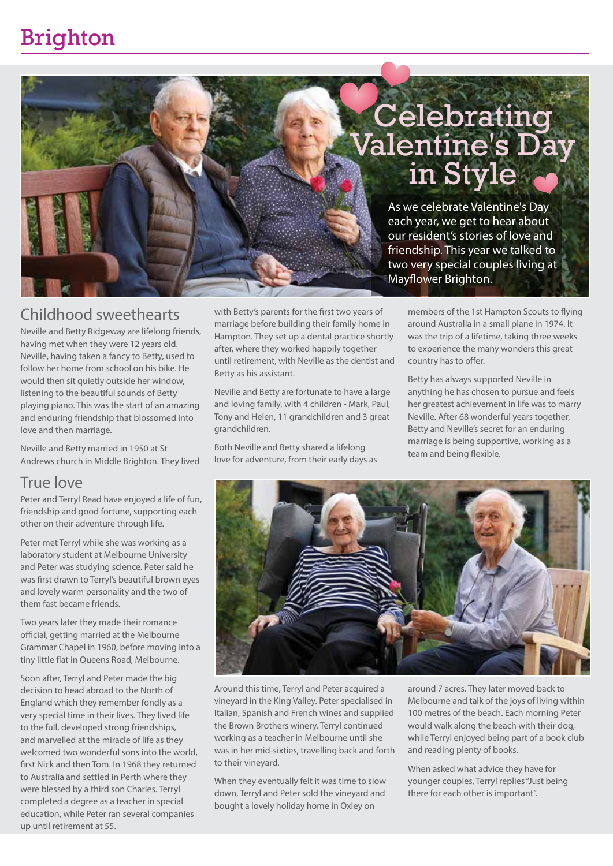## Brighton

# Celebrating<br>Valentine's Day<br>in Style

As we celebrate Valentine's Day each year, we get to hear about our resident's stories of love and friendship. This year we talked to two very special couples living at Mayflower Brighton.

#### Childhood sweethearts

Neville and Betty Ridgeway are lifelong friends, having met when they were 12 years old. Neville, having taken a fancy to Betty, used to follow her home from school on his bike. He would then sit quietly outside her window, listening to the beautiful sounds of Betty playing piano. This was the start of an amazing and enduring friendship that blossomed into love and then marriage.

Neville and Betty married in 1950 at St Andrews church in Middle Brighton. They lived

#### True love

Peter and Terryl Read have enjoyed a life of fun, friendship and good fortune, supporting each other on their adventure through life.

Peter met Terryl while she was working as a laboratory student at Melbourne University and Peter was studying science. Peter said he was first drawn to Terryl's beautiful brown eyes and lovely warm personality and the two of them fast became friends.

Two years later they made their romance official, getting married at the Melbourne Grammar Chapel in 1960, before moving into a tiny little flat in Queens Road, Melbourne.

Soon after, Terryl and Peter made the big decision to head abroad to the North of England which they remember fondly as a very special time in their lives. They lived life to the full, developed strong friendships, and marvelled at the miracle of life as they welcomed two wonderful sons into the world, first Nick and then Tom. In 1968 they returned to Australia and settled in Perth where they were blessed by a third son Charles. Terryl completed a degree as a teacher in special education, while Peter ran several companies up until retirement at 55.

with Betty's parents for the first two years of marriage before building their family home in Hampton. They set up a dental practice shortly after, where they worked happily together until retirement, with Neville as the dentist and Betty as his assistant.

Neville and Betty are fortunate to have a large and loving family, with 4 children - Mark, Paul, Tony and Helen, 11 grandchildren and 3 great grandchildren.

Both Neville and Betty shared a lifelong love for adventure, from their early days as

members of the 1st Hampton Scouts to flying around Australia in a small plane in 1974. It was the trip of a lifetime, taking three weeks to experience the many wonders this great country has to offer.

Betty has always supported Neville in anything he has chosen to pursue and feels her greatest achievement in life was to marry Neville. After 68 wonderful years together, Betty and Neville's secret for an enduring marriage is being supportive, working as a team and being flexible.



Around this time, Terryl and Peter acquired a vineyard in the King Valley. Peter specialised in Italian, Spanish and French wines and supplied the Brown Brothers winery. Terryl continued working as a teacher in Melbourne until she was in her mid-sixties, travelling back and forth to their vineyard.

When they eventually felt it was time to slow down, Terryl and Peter sold the vineyard and bought a lovely holiday home in Oxley on

around 7 acres. They later moved back to Melbourne and talk of the joys of living within 100 metres of the beach. Each morning Peter would walk along the beach with their dog, while Terryl enjoyed being part of a book club and reading plenty of books.

When asked what advice they have for younger couples, Terryl replies "Just being there for each other is important".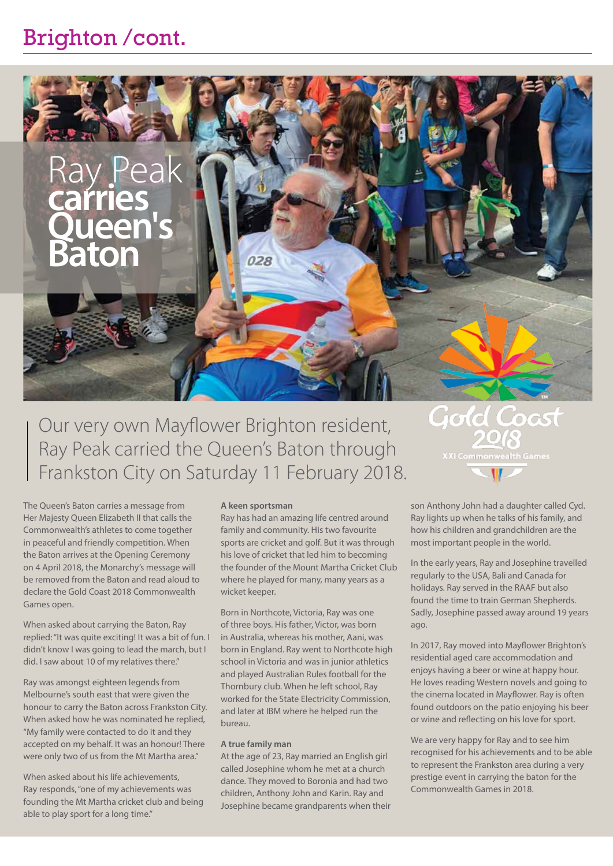## Brighton /cont.



Our very own Mayflower Brighton resident, Ray Peak carried the Queen's Baton through Frankston City on Saturday 11 February 2018.

# Gold Coast **XXI Commonwealth Games**

The Queen's Baton carries a message from Her Majesty Queen Elizabeth II that calls the Commonwealth's athletes to come together in peaceful and friendly competition. When the Baton arrives at the Opening Ceremony on 4 April 2018, the Monarchy's message will be removed from the Baton and read aloud to declare the Gold Coast 2018 Commonwealth Games open.

When asked about carrying the Baton, Ray replied: "It was quite exciting! It was a bit of fun. I didn't know I was going to lead the march, but I did. I saw about 10 of my relatives there."

Ray was amongst eighteen legends from Melbourne's south east that were given the honour to carry the Baton across Frankston City. When asked how he was nominated he replied, "My family were contacted to do it and they accepted on my behalf. It was an honour! There were only two of us from the Mt Martha area."

When asked about his life achievements, Ray responds, "one of my achievements was founding the Mt Martha cricket club and being able to play sport for a long time."

#### **A keen sportsman**

Ray has had an amazing life centred around family and community. His two favourite sports are cricket and golf. But it was through his love of cricket that led him to becoming the founder of the Mount Martha Cricket Club where he played for many, many years as a wicket keeper.

Born in Northcote, Victoria, Ray was one of three boys. His father, Victor, was born in Australia, whereas his mother, Aani, was born in England. Ray went to Northcote high school in Victoria and was in junior athletics and played Australian Rules football for the Thornbury club. When he left school, Ray worked for the State Electricity Commission, and later at IBM where he helped run the bureau.

#### **A true family man**

At the age of 23, Ray married an English girl called Josephine whom he met at a church dance. They moved to Boronia and had two children, Anthony John and Karin. Ray and Josephine became grandparents when their son Anthony John had a daughter called Cyd. Ray lights up when he talks of his family, and how his children and grandchildren are the most important people in the world.

In the early years, Ray and Josephine travelled regularly to the USA, Bali and Canada for holidays. Ray served in the RAAF but also found the time to train German Shepherds. Sadly, Josephine passed away around 19 years ago.

In 2017, Ray moved into Mayflower Brighton's residential aged care accommodation and enjoys having a beer or wine at happy hour. He loves reading Western novels and going to the cinema located in Mayflower. Ray is often found outdoors on the patio enjoying his beer or wine and reflecting on his love for sport.

We are very happy for Ray and to see him recognised for his achievements and to be able to represent the Frankston area during a very prestige event in carrying the baton for the Commonwealth Games in 2018.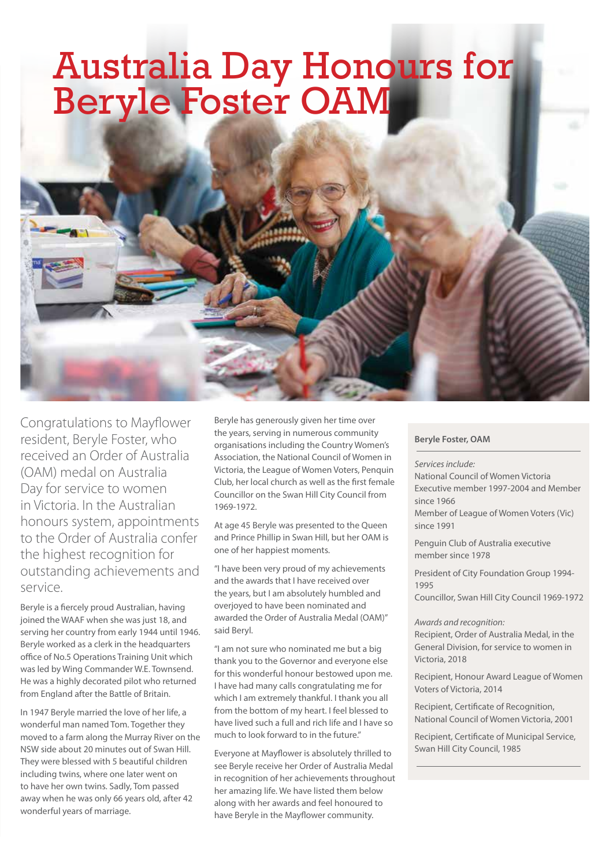# Australia Day Honours for Beryle Foster OAM

Congratulations to Mayflower resident, Beryle Foster, who received an Order of Australia (OAM) medal on Australia Day for service to women in Victoria. In the Australian honours system, appointments to the Order of Australia confer the highest recognition for outstanding achievements and service.

Beryle is a fiercely proud Australian, having joined the WAAF when she was just 18, and serving her country from early 1944 until 1946. Beryle worked as a clerk in the headquarters office of No.5 Operations Training Unit which was led by Wing Commander W.E. Townsend. He was a highly decorated pilot who returned from England after the Battle of Britain.

In 1947 Beryle married the love of her life, a wonderful man named Tom. Together they moved to a farm along the Murray River on the NSW side about 20 minutes out of Swan Hill. They were blessed with 5 beautiful children including twins, where one later went on to have her own twins. Sadly, Tom passed away when he was only 66 years old, after 42 wonderful years of marriage.

Beryle has generously given her time over the years, serving in numerous community organisations including the Country Women's Association, the National Council of Women in Victoria, the League of Women Voters, Penquin Club, her local church as well as the first female Councillor on the Swan Hill City Council from 1969-1972.

At age 45 Beryle was presented to the Queen and Prince Phillip in Swan Hill, but her OAM is one of her happiest moments.

"I have been very proud of my achievements and the awards that I have received over the years, but I am absolutely humbled and overjoyed to have been nominated and awarded the Order of Australia Medal (OAM)" said Beryl.

"I am not sure who nominated me but a big thank you to the Governor and everyone else for this wonderful honour bestowed upon me. I have had many calls congratulating me for which I am extremely thankful. I thank you all from the bottom of my heart. I feel blessed to have lived such a full and rich life and I have so much to look forward to in the future."

Everyone at Mayflower is absolutely thrilled to see Beryle receive her Order of Australia Medal in recognition of her achievements throughout her amazing life. We have listed them below along with her awards and feel honoured to have Beryle in the Mayflower community.

#### **Beryle Foster, OAM**

#### *Services include:*

National Council of Women Victoria Executive member 1997-2004 and Member since 1966

Member of League of Women Voters (Vic) since 1991

Penguin Club of Australia executive member since 1978

President of City Foundation Group 1994- 1995

Councillor, Swan Hill City Council 1969-1972

#### *Awards and recognition:*

Recipient, Order of Australia Medal, in the General Division, for service to women in Victoria, 2018

Recipient, Honour Award League of Women Voters of Victoria, 2014

Recipient, Certificate of Recognition, National Council of Women Victoria, 2001

Recipient, Certificate of Municipal Service, Swan Hill City Council, 1985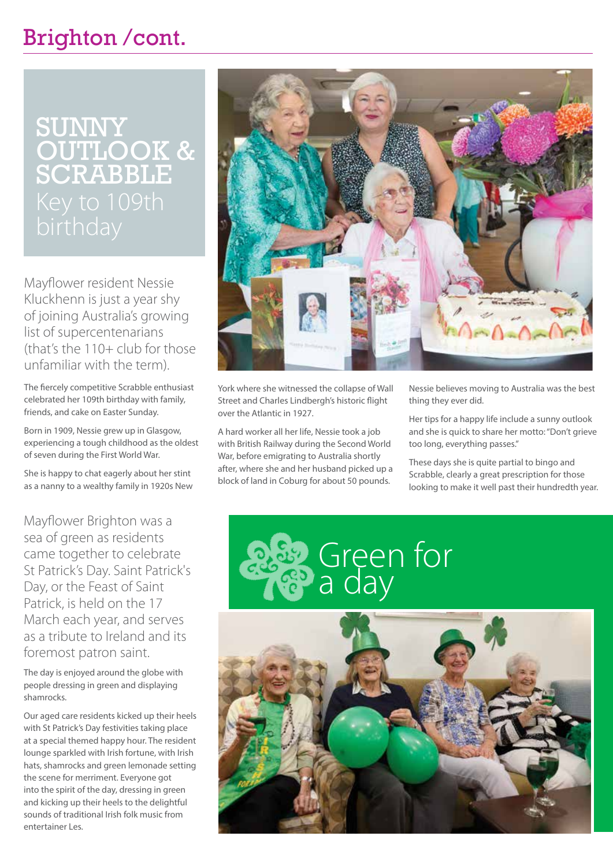## Brighton /cont.

# Sunny Outlook & Scrabble

Mayflower resident Nessie Kluckhenn is just a year shy of joining Australia's growing list of supercentenarians (that's the  $110+$  club for those unfamiliar with the term).

The fiercely competitive Scrabble enthusiast celebrated her 109th birthday with family, friends, and cake on Easter Sunday.

Born in 1909, Nessie grew up in Glasgow, experiencing a tough childhood as the oldest of seven during the First World War.

She is happy to chat eagerly about her stint as a nanny to a wealthy family in 1920s New

Mayflower Brighton was a sea of green as residents came together to celebrate St Patrick's Day. Saint Patrick's Day, or the Feast of Saint Patrick, is held on the 17 March each year, and serves as a tribute to Ireland and its foremost patron saint.

The day is enjoyed around the globe with people dressing in green and displaying shamrocks.

Our aged care residents kicked up their heels with St Patrick's Day festivities taking place at a special themed happy hour. The resident lounge sparkled with Irish fortune, with Irish hats, shamrocks and green lemonade setting the scene for merriment. Everyone got into the spirit of the day, dressing in green and kicking up their heels to the delightful sounds of traditional Irish folk music from entertainer Les.



York where she witnessed the collapse of Wall Street and Charles Lindbergh's historic flight over the Atlantic in 1927.

A hard worker all her life, Nessie took a job with British Railway during the Second World War, before emigrating to Australia shortly after, where she and her husband picked up a block of land in Coburg for about 50 pounds.

Nessie believes moving to Australia was the best thing they ever did.

Her tips for a happy life include a sunny outlook and she is quick to share her motto: "Don't grieve too long, everything passes."

These days she is quite partial to bingo and Scrabble, clearly a great prescription for those looking to make it well past their hundredth year.



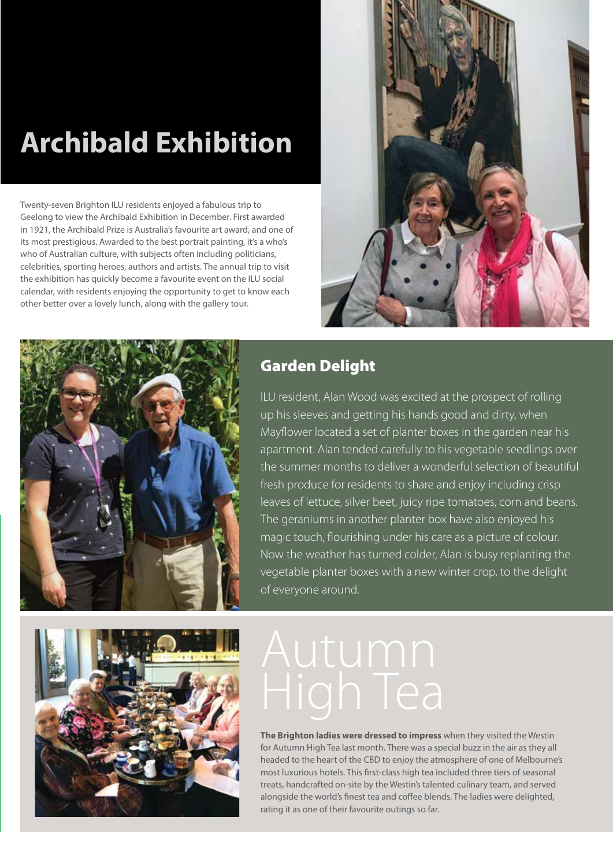## **Archibald Exhibition**

Twenty-seven Brighton ILU residents enjoyed a fabulous trip to Geelong to view the Archibald Exhibition in December. First awarded in 1921, the Archibald Prize is Australia's favourite art award, and one of its most prestigious. Awarded to the best portrait painting, it's a who's who of Australian culture, with subjects often including politicians, celebrities, sporting heroes, authors and artists. The annual trip to visit the exhibition has quickly become a favourite event on the ILU social calendar, with residents enjoying the opportunity to get to know each other better over a lovely lunch, along with the gallery tour.





#### Garden Delight

ILU resident, Alan Wood was excited at the prospect of rolling up his sleeves and getting his hands good and dirty, when Mayflower located a set of planter boxes in the garden near his apartment. Alan tended carefully to his vegetable seedlings over the summer months to deliver a wonderful selection of beautiful fresh produce for residents to share and enjoy including crisp leaves of lettuce, silver beet, juicy ripe tomatoes, corn and beans. The geraniums in another planter box have also enjoyed his magic touch, flourishing under his care as a picture of colour. Now the weather has turned colder, Alan is busy replanting the vegetable planter boxes with a new winter crop, to the delight of everyone around.



**The Brighton ladies were dressed to impress** when they visited the Westin for Autumn High Tea last month. There was a special buzz in the air as they all headed to the heart of the CBD to enjoy the atmosphere of one of Melbourne's most luxurious hotels. This first-class high tea included three tiers of seasonal treats, handcrafted on-site by the Westin's talented culinary team, and served alongside the world's finest tea and coffee blends. The ladies were delighted, rating it as one of their favourite outings so far.